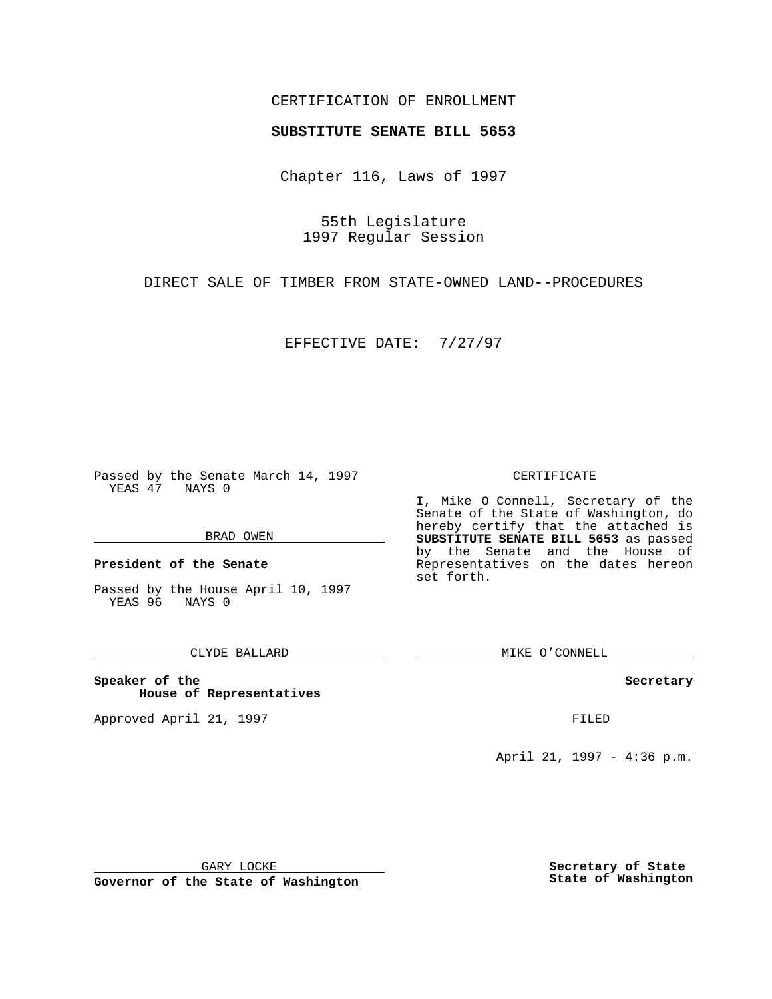## CERTIFICATION OF ENROLLMENT

# **SUBSTITUTE SENATE BILL 5653**

Chapter 116, Laws of 1997

55th Legislature 1997 Regular Session

DIRECT SALE OF TIMBER FROM STATE-OWNED LAND--PROCEDURES

EFFECTIVE DATE: 7/27/97

Passed by the Senate March 14, 1997 YEAS 47 NAYS 0

#### BRAD OWEN

**President of the Senate**

Passed by the House April 10, 1997 YEAS 96 NAYS 0

### CLYDE BALLARD

**Speaker of the House of Representatives**

Approved April 21, 1997 FILED

#### CERTIFICATE

I, Mike O Connell, Secretary of the Senate of the State of Washington, do hereby certify that the attached is **SUBSTITUTE SENATE BILL 5653** as passed by the Senate and the House of Representatives on the dates hereon set forth.

MIKE O'CONNELL

#### **Secretary**

April 21, 1997 - 4:36 p.m.

GARY LOCKE

**Governor of the State of Washington**

**Secretary of State State of Washington**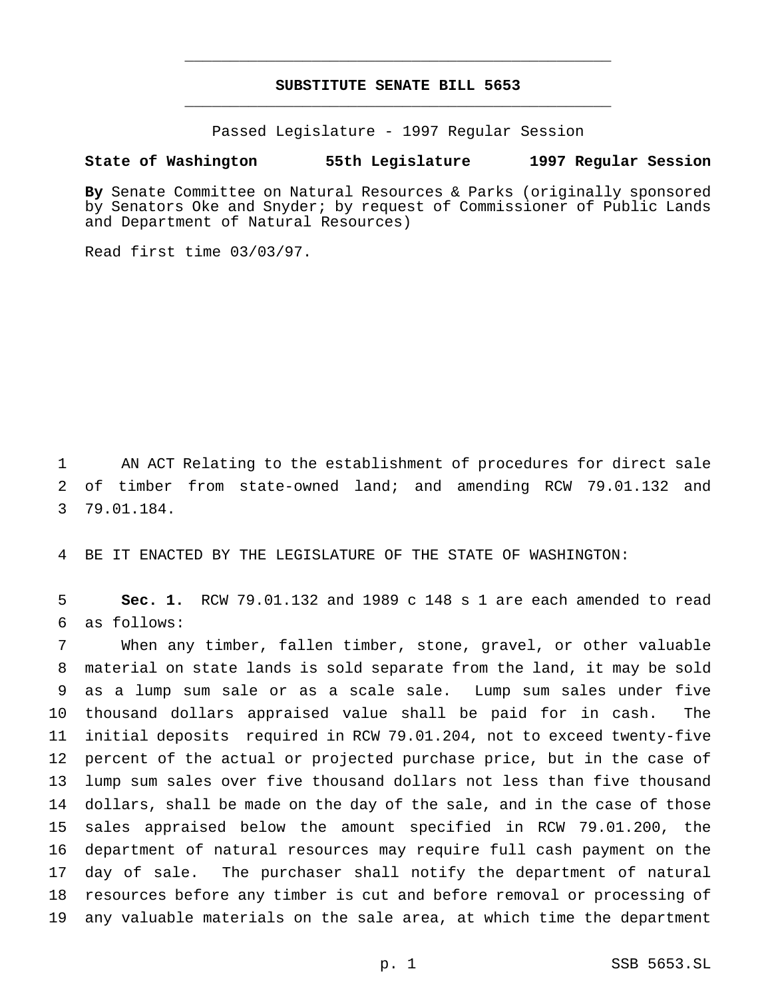## **SUBSTITUTE SENATE BILL 5653** \_\_\_\_\_\_\_\_\_\_\_\_\_\_\_\_\_\_\_\_\_\_\_\_\_\_\_\_\_\_\_\_\_\_\_\_\_\_\_\_\_\_\_\_\_\_\_

\_\_\_\_\_\_\_\_\_\_\_\_\_\_\_\_\_\_\_\_\_\_\_\_\_\_\_\_\_\_\_\_\_\_\_\_\_\_\_\_\_\_\_\_\_\_\_

Passed Legislature - 1997 Regular Session

### **State of Washington 55th Legislature 1997 Regular Session**

**By** Senate Committee on Natural Resources & Parks (originally sponsored by Senators Oke and Snyder; by request of Commissioner of Public Lands and Department of Natural Resources)

Read first time 03/03/97.

 AN ACT Relating to the establishment of procedures for direct sale of timber from state-owned land; and amending RCW 79.01.132 and 79.01.184.

BE IT ENACTED BY THE LEGISLATURE OF THE STATE OF WASHINGTON:

 **Sec. 1.** RCW 79.01.132 and 1989 c 148 s 1 are each amended to read as follows:

 When any timber, fallen timber, stone, gravel, or other valuable material on state lands is sold separate from the land, it may be sold as a lump sum sale or as a scale sale. Lump sum sales under five thousand dollars appraised value shall be paid for in cash. The initial deposits required in RCW 79.01.204, not to exceed twenty-five percent of the actual or projected purchase price, but in the case of lump sum sales over five thousand dollars not less than five thousand dollars, shall be made on the day of the sale, and in the case of those sales appraised below the amount specified in RCW 79.01.200, the department of natural resources may require full cash payment on the day of sale. The purchaser shall notify the department of natural resources before any timber is cut and before removal or processing of any valuable materials on the sale area, at which time the department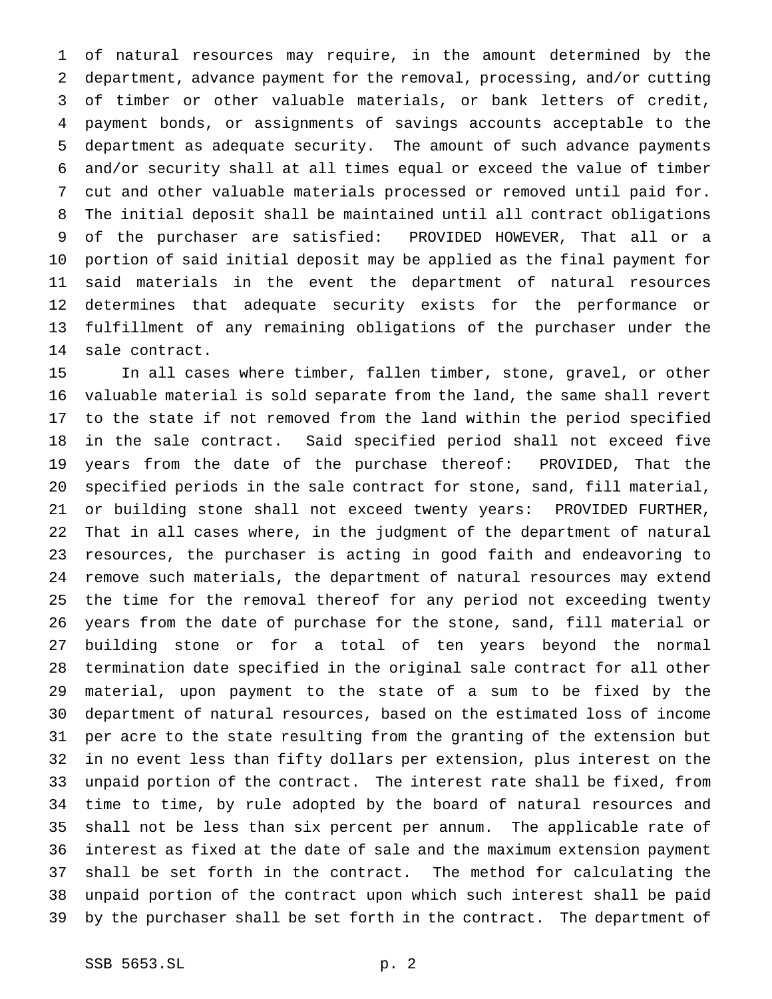of natural resources may require, in the amount determined by the department, advance payment for the removal, processing, and/or cutting of timber or other valuable materials, or bank letters of credit, payment bonds, or assignments of savings accounts acceptable to the department as adequate security. The amount of such advance payments and/or security shall at all times equal or exceed the value of timber cut and other valuable materials processed or removed until paid for. The initial deposit shall be maintained until all contract obligations of the purchaser are satisfied: PROVIDED HOWEVER, That all or a portion of said initial deposit may be applied as the final payment for said materials in the event the department of natural resources determines that adequate security exists for the performance or fulfillment of any remaining obligations of the purchaser under the sale contract.

 In all cases where timber, fallen timber, stone, gravel, or other valuable material is sold separate from the land, the same shall revert to the state if not removed from the land within the period specified in the sale contract. Said specified period shall not exceed five years from the date of the purchase thereof: PROVIDED, That the specified periods in the sale contract for stone, sand, fill material, or building stone shall not exceed twenty years: PROVIDED FURTHER, That in all cases where, in the judgment of the department of natural resources, the purchaser is acting in good faith and endeavoring to remove such materials, the department of natural resources may extend the time for the removal thereof for any period not exceeding twenty years from the date of purchase for the stone, sand, fill material or building stone or for a total of ten years beyond the normal termination date specified in the original sale contract for all other material, upon payment to the state of a sum to be fixed by the department of natural resources, based on the estimated loss of income per acre to the state resulting from the granting of the extension but in no event less than fifty dollars per extension, plus interest on the unpaid portion of the contract. The interest rate shall be fixed, from time to time, by rule adopted by the board of natural resources and shall not be less than six percent per annum. The applicable rate of interest as fixed at the date of sale and the maximum extension payment shall be set forth in the contract. The method for calculating the unpaid portion of the contract upon which such interest shall be paid by the purchaser shall be set forth in the contract. The department of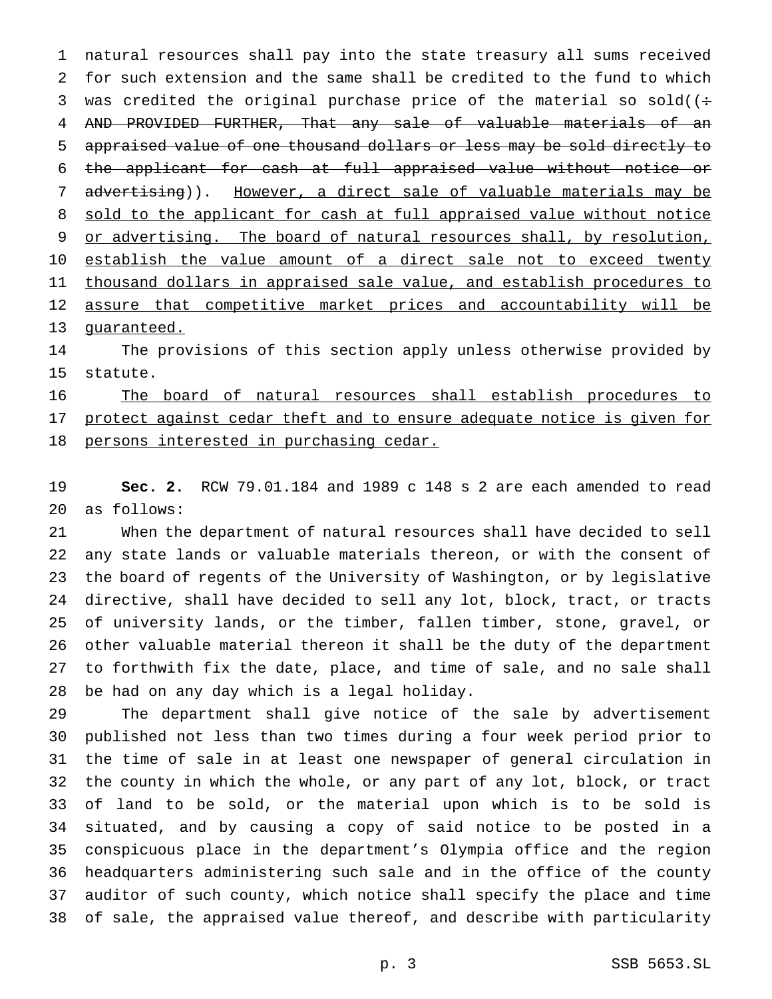natural resources shall pay into the state treasury all sums received for such extension and the same shall be credited to the fund to which 3 was credited the original purchase price of the material so sold( $($ : AND PROVIDED FURTHER, That any sale of valuable materials of an appraised value of one thousand dollars or less may be sold directly to the applicant for cash at full appraised value without notice or 7 advertising)). However, a direct sale of valuable materials may be 8 sold to the applicant for cash at full appraised value without notice 9 or advertising. The board of natural resources shall, by resolution, 10 establish the value amount of a direct sale not to exceed twenty 11 thousand dollars in appraised sale value, and establish procedures to assure that competitive market prices and accountability will be guaranteed.

 The provisions of this section apply unless otherwise provided by statute.

 The board of natural resources shall establish procedures to 17 protect against cedar theft and to ensure adequate notice is given for 18 persons interested in purchasing cedar.

 **Sec. 2.** RCW 79.01.184 and 1989 c 148 s 2 are each amended to read as follows:

 When the department of natural resources shall have decided to sell any state lands or valuable materials thereon, or with the consent of the board of regents of the University of Washington, or by legislative directive, shall have decided to sell any lot, block, tract, or tracts of university lands, or the timber, fallen timber, stone, gravel, or other valuable material thereon it shall be the duty of the department to forthwith fix the date, place, and time of sale, and no sale shall be had on any day which is a legal holiday.

 The department shall give notice of the sale by advertisement published not less than two times during a four week period prior to the time of sale in at least one newspaper of general circulation in the county in which the whole, or any part of any lot, block, or tract of land to be sold, or the material upon which is to be sold is situated, and by causing a copy of said notice to be posted in a conspicuous place in the department's Olympia office and the region headquarters administering such sale and in the office of the county auditor of such county, which notice shall specify the place and time of sale, the appraised value thereof, and describe with particularity